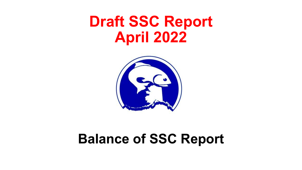# **Draft SSC Report April 2022**



# **Balance of SSC Report**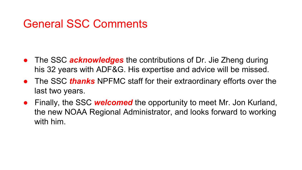### General SSC Comments

- The SSC *acknowledges* the contributions of Dr. Jie Zheng during his 32 years with ADF&G. His expertise and advice will be missed.
- The SSC *thanks* NPFMC staff for their extraordinary efforts over the last two years.
- Finally, the SSC *welcomed* the opportunity to meet Mr. Jon Kurland, the new NOAA Regional Administrator, and looks forward to working with him.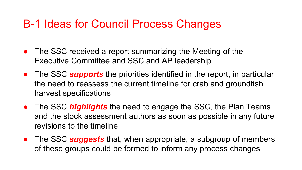### B-1 Ideas for Council Process Changes

- The SSC received a report summarizing the Meeting of the Executive Committee and SSC and AP leadership
- The SSC *supports* the priorities identified in the report, in particular the need to reassess the current timeline for crab and groundfish harvest specifications
- The SSC *highlights* the need to engage the SSC, the Plan Teams and the stock assessment authors as soon as possible in any future revisions to the timeline
- The SSC **suggests** that, when appropriate, a subgroup of members of these groups could be formed to inform any process changes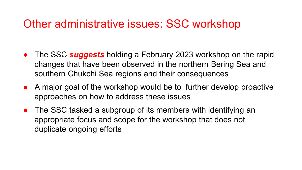### Other administrative issues: SSC workshop

- The SSC *suggests* holding a February 2023 workshop on the rapid changes that have been observed in the northern Bering Sea and southern Chukchi Sea regions and their consequences
- A major goal of the workshop would be to further develop proactive approaches on how to address these issues
- The SSC tasked a subgroup of its members with identifying an appropriate focus and scope for the workshop that does not duplicate ongoing efforts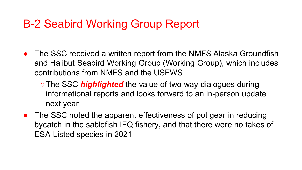### B-2 Seabird Working Group Report

- The SSC received a written report from the NMFS Alaska Groundfish and Halibut Seabird Working Group (Working Group), which includes contributions from NMFS and the USFWS
	- ○The SSC *highlighted* the value of two-way dialogues during informational reports and looks forward to an in-person update next year
- The SSC noted the apparent effectiveness of pot gear in reducing bycatch in the sablefish IFQ fishery, and that there were no takes of ESA-Listed species in 2021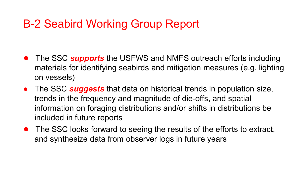### B-2 Seabird Working Group Report

- The SSC **supports** the USFWS and NMFS outreach efforts including materials for identifying seabirds and mitigation measures (e.g. lighting on vessels)
- The SSC *suggests* that data on historical trends in population size, trends in the frequency and magnitude of die-offs, and spatial information on foraging distributions and/or shifts in distributions be included in future reports
- The SSC looks forward to seeing the results of the efforts to extract, and synthesize data from observer logs in future years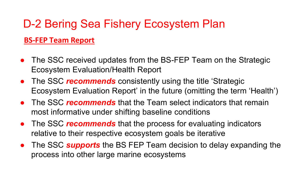#### **BS-FEP Team Report**

- The SSC received updates from the BS-FEP Team on the Strategic Ecosystem Evaluation/Health Report
- The SSC *recommends* consistently using the title 'Strategic Ecosystem Evaluation Report' in the future (omitting the term 'Health')
- The SSC *recommends* that the Team select indicators that remain most informative under shifting baseline conditions
- The SSC *recommends* that the process for evaluating indicators relative to their respective ecosystem goals be iterative
- The SSC **supports** the BS FEP Team decision to delay expanding the process into other large marine ecosystems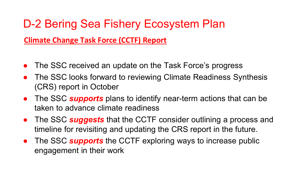#### **Climate Change Task Force (CCTF) Report**

- The SSC received an update on the Task Force's progress
- The SSC looks forward to reviewing Climate Readiness Synthesis (CRS) report in October
- The SSC *supports* plans to identify near-term actions that can be taken to advance climate readiness
- The SSC *suggests* that the CCTF consider outlining a process and timeline for revisiting and updating the CRS report in the future.
- **•** The SSC **supports** the CCTF exploring ways to increase public engagement in their work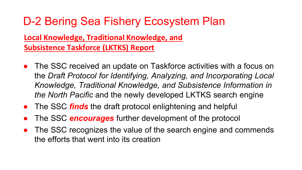#### **Local Knowledge, Traditional Knowledge, and Subsistence Taskforce (LKTKS) Report**

- The SSC received an update on Taskforce activities with a focus on the *Draft Protocol for Identifying, Analyzing, and Incorporating Local Knowledge, Traditional Knowledge, and Subsistence Information in the North Pacific* and the newly developed LKTKS search engine
- The SSC *finds* the draft protocol enlightening and helpful
- The SSC **encourages** further development of the protocol
- The SSC recognizes the value of the search engine and commends the efforts that went into its creation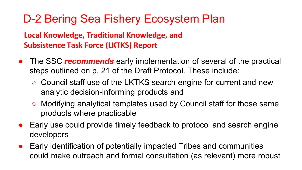#### **Local Knowledge, Traditional Knowledge, and Subsistence Task Force (LKTKS) Report**

- The SSC *recommends* early implementation of several of the practical steps outlined on p. 21 of the Draft Protocol. These include:
	- Council staff use of the LKTKS search engine for current and new analytic decision-informing products and
	- Modifying analytical templates used by Council staff for those same products where practicable
- Early use could provide timely feedback to protocol and search engine developers
- Early identification of potentially impacted Tribes and communities could make outreach and formal consultation (as relevant) more robust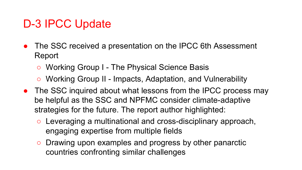## D-3 IPCC Update

- The SSC received a presentation on the IPCC 6th Assessment Report
	- Working Group I The Physical Science Basis
	- Working Group II Impacts, Adaptation, and Vulnerability
- The SSC inquired about what lessons from the IPCC process may be helpful as the SSC and NPFMC consider climate-adaptive strategies for the future. The report author highlighted:
	- Leveraging a multinational and cross-disciplinary approach, engaging expertise from multiple fields
	- Drawing upon examples and progress by other panarctic countries confronting similar challenges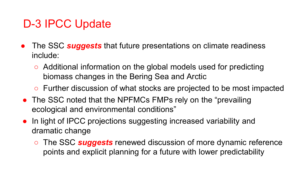## D-3 IPCC Update

- The SSC **suggests** that future presentations on climate readiness include:
	- Additional information on the global models used for predicting biomass changes in the Bering Sea and Arctic
	- Further discussion of what stocks are projected to be most impacted
- The SSC noted that the NPFMCs FMPs rely on the "prevailing" ecological and environmental conditions"
- In light of IPCC projections suggesting increased variability and dramatic change
	- The SSC *suggests* renewed discussion of more dynamic reference points and explicit planning for a future with lower predictability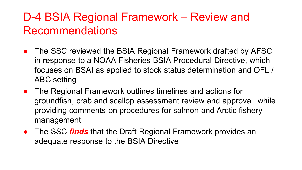# D-4 BSIA Regional Framework – Review and Recommendations

- The SSC reviewed the BSIA Regional Framework drafted by AFSC in response to a NOAA Fisheries BSIA Procedural Directive, which focuses on BSAI as applied to stock status determination and OFL / ABC setting
- The Regional Framework outlines timelines and actions for groundfish, crab and scallop assessment review and approval, while providing comments on procedures for salmon and Arctic fishery management
- The SSC *finds* that the Draft Regional Framework provides an adequate response to the BSIA Directive